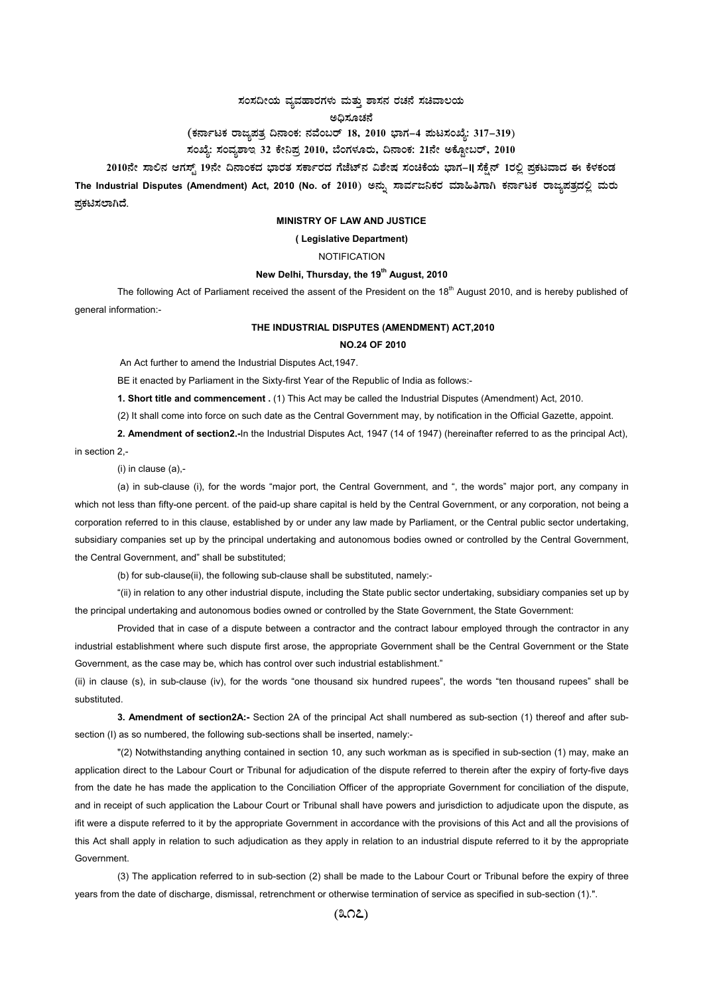## $\,$ ಸಂಸದೀಯ ವ್ಯವಹಾರಗಳು ಮತ್ತು ಶಾಸನ ರಚನೆ ಸಚಿವಾಲಯ

ಅಧಿಸೂಚನೆ

# (ಕರ್ನಾಟಕ ರಾಜ್ಯಪತ್ರ ದಿನಾಂಕ: ನವೆಂಬರ್ 18, 2010 ಭಾಗ–4 **ಮಟಸಂಖ್ಯೆ: 317–319**)

## ಸಂಖ್ಯೆ: ಸಂವ್<mark>ನ</mark>ಶಾಇ 32 ಕೇನಿಪ್ರ 2010, ಬೆಂಗಳೂರು, ದಿನಾಂಕ: 21ನೇ ಅಕ್ಟೋಬರ್, 2010

 **2010£Éà ¸Á°£À DUÀ¸ïÖ 19£Éà ¢£ÁAPÀzÀ ¨sÁgÀvÀ ¸ÀPÁðgÀzÀ UÉeÉmï£À «±ÉõÀ ¸ÀAaPÉAiÀÄ ¨sÁUÀ-II s¸ÉPÉë£ï 1gÀ°è ¥ÀæPÀlªÁzÀ F PɼÀPÀAqÀ** 

The Industrial Disputes (Amendment) Act, 2010 (No. of 2010) ಅನ್ನು ಸಾರ್ವಜನಿಕರ ಮಾಹಿತಿಗಾಗಿ ಕರ್ನಾಟಕ ರಾಜ್ಯಪತ್ರದಲ್ಲಿ ಮರು **ಪ್ರಕಟಿಸಲಾಗಿದೆ**.

#### **MINISTRY OF LAW AND JUSTICE**

### **( Legislative Department)**

## **NOTIFICATION**

### New Delhi, Thursday, the 19<sup>th</sup> August, 2010

The following Act of Parliament received the assent of the President on the 18<sup>th</sup> August 2010, and is hereby published of general information:-

#### **THE INDUSTRIAL DISPUTES (AMENDMENT) ACT,2010**

## **NO.24 OF 2010**

An Act further to amend the Industrial Disputes Act,1947.

BE it enacted by Parliament in the Sixty-first Year of the Republic of India as follows:-

**1. Short title and commencement .** (1) This Act may be called the Industrial Disputes (Amendment) Act, 2010.

(2) It shall come into force on such date as the Central Government may, by notification in the Official Gazette, appoint.

**2. Amendment of section2.-**In the Industrial Disputes Act, 1947 (14 of 1947) (hereinafter referred to as the principal Act),

in section 2,-

(i) in clause (a),-

(a) in sub-clause (i), for the words "major port, the Central Government, and ", the words" major port, any company in which not less than fifty-one percent. of the paid-up share capital is held by the Central Government, or any corporation, not being a corporation referred to in this clause, established by or under any law made by Parliament, or the Central public sector undertaking, subsidiary companies set up by the principal undertaking and autonomous bodies owned or controlled by the Central Government, the Central Government, and" shall be substituted;

(b) for sub-clause(ii), the following sub-clause shall be substituted, namely:-

"(ii) in relation to any other industrial dispute, including the State public sector undertaking, subsidiary companies set up by the principal undertaking and autonomous bodies owned or controlled by the State Government, the State Government:

Provided that in case of a dispute between a contractor and the contract labour employed through the contractor in any industrial establishment where such dispute first arose, the appropriate Government shall be the Central Government or the State Government, as the case may be, which has control over such industrial establishment."

(ii) in clause (s), in sub-clause (iv), for the words "one thousand six hundred rupees", the words "ten thousand rupees" shall be substituted.

**3. Amendment of section2A:-** Section 2A of the principal Act shall numbered as sub-section (1) thereof and after subsection (I) as so numbered, the following sub-sections shall be inserted, namely:-

"(2) Notwithstanding anything contained in section 10, any such workman as is specified in sub-section (1) may, make an application direct to the Labour Court or Tribunal for adjudication of the dispute referred to therein after the expiry of forty-five days from the date he has made the application to the Conciliation Officer of the appropriate Government for conciliation of the dispute, and in receipt of such application the Labour Court or Tribunal shall have powers and jurisdiction to adjudicate upon the dispute, as ifit were a dispute referred to it by the appropriate Government in accordance with the provisions of this Act and all the provisions of this Act shall apply in relation to such adjudication as they apply in relation to an industrial dispute referred to it by the appropriate Government.

(3) The application referred to in sub-section (2) shall be made to the Labour Court or Tribunal before the expiry of three years from the date of discharge, dismissal, retrenchment or otherwise termination of service as specified in sub-section (1).".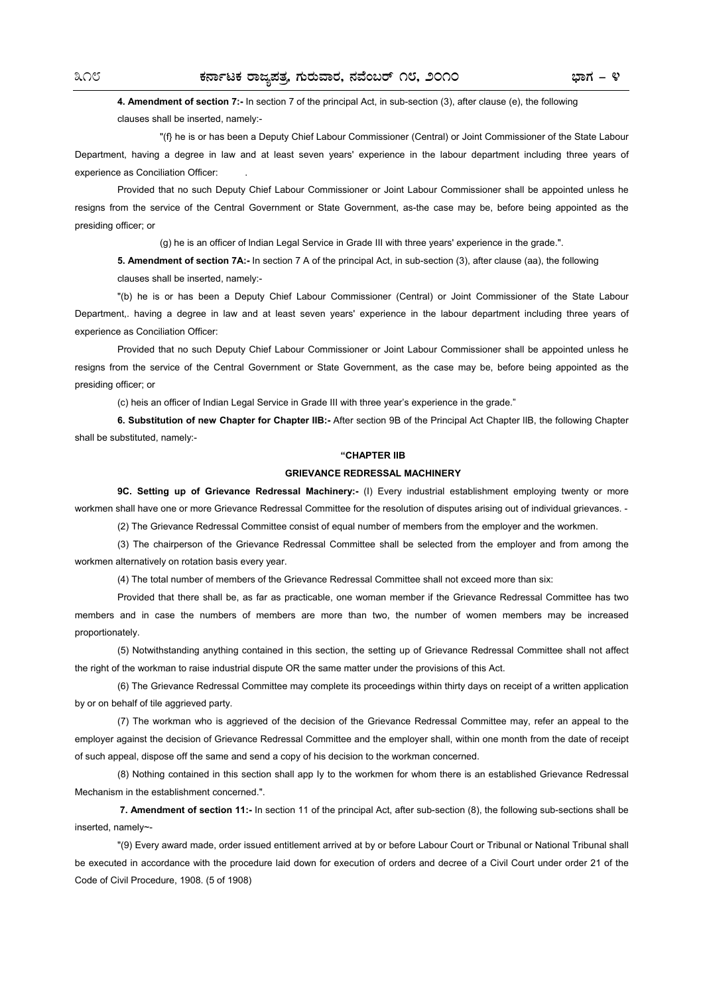## **4. Amendment of section 7:-** In section 7 of the principal Act, in sub-section (3), after clause (e), the following clauses shall be inserted, namely:-

"(f} he is or has been a Deputy Chief Labour Commissioner (Central) or Joint Commissioner of the State Labour Department, having a degree in law and at least seven years' experience in the labour department including three years of experience as Conciliation Officer: .

Provided that no such Deputy Chief Labour Commissioner or Joint Labour Commissioner shall be appointed unless he resigns from the service of the Central Government or State Government, as-the case may be, before being appointed as the presiding officer; or

(g) he is an officer of lndian Legal Service in Grade III with three years' experience in the grade.".

**5. Amendment of section 7A:-** In section 7 A of the principal Act, in sub-section (3), after clause (aa), the following clauses shall be inserted, namely:-

"(b) he is or has been a Deputy Chief Labour Commissioner (Central) or Joint Commissioner of the State Labour Department,. having a degree in law and at least seven years' experience in the labour department including three years of experience as Conciliation Officer:

Provided that no such Deputy Chief Labour Commissioner or Joint Labour Commissioner shall be appointed unless he resigns from the service of the Central Government or State Government, as the case may be, before being appointed as the presiding officer; or

(c) heis an officer of Indian Legal Service in Grade III with three year's experience in the grade."

**6. Substitution of new Chapter for Chapter IIB:-** After section 9B of the Principal Act Chapter lIB, the following Chapter shall be substituted, namely:-

#### **"CHAPTER IIB**

#### **GRIEVANCE REDRESSAL MACHINERY**

**9C. Setting up of Grievance Redressal Machinery:-** (I) Every industrial establishment employing twenty or more workmen shall have one or more Grievance Redressal Committee for the resolution of disputes arising out of individual grievances. -

(2) The Grievance Redressal Committee consist of equal number of members from the employer and the workmen.

(3) The chairperson of the Grievance Redressal Committee shall be selected from the employer and from among the workmen alternatively on rotation basis every year.

(4) The total number of members of the Grievance Redressal Committee shall not exceed more than six:

Provided that there shall be, as far as practicable, one woman member if the Grievance Redressal Committee has two members and in case the numbers of members are more than two, the number of women members may be increased proportionately.

(5) Notwithstanding anything contained in this section, the setting up of Grievance Redressal Committee shall not affect the right of the workman to raise industrial dispute OR the same matter under the provisions of this Act.

(6) The Grievance Redressal Committee may complete its proceedings within thirty days on receipt of a written application by or on behalf of tile aggrieved party.

(7) The workman who is aggrieved of the decision of the Grievance Redressal Committee may, refer an appeal to the employer against the decision of Grievance Redressal Committee and the employer shall, within one month from the date of receipt of such appeal, dispose off the same and send a copy of his decision to the workman concerned.

(8) Nothing contained in this section shall app Iy to the workmen for whom there is an established Grievance Redressal Mechanism in the establishment concerned.".

**7. Amendment of section 11:-** In section 11 of the principal Act, after sub-section (8), the following sub-sections shall be inserted, namely~-

"(9) Every award made, order issued entitlement arrived at by or before Labour Court or Tribunal or National Tribunal shall be executed in accordance with the procedure laid down for execution of orders and decree of a Civil Court under order 21 of the Code of Civil Procedure, 1908. (5 of 1908)